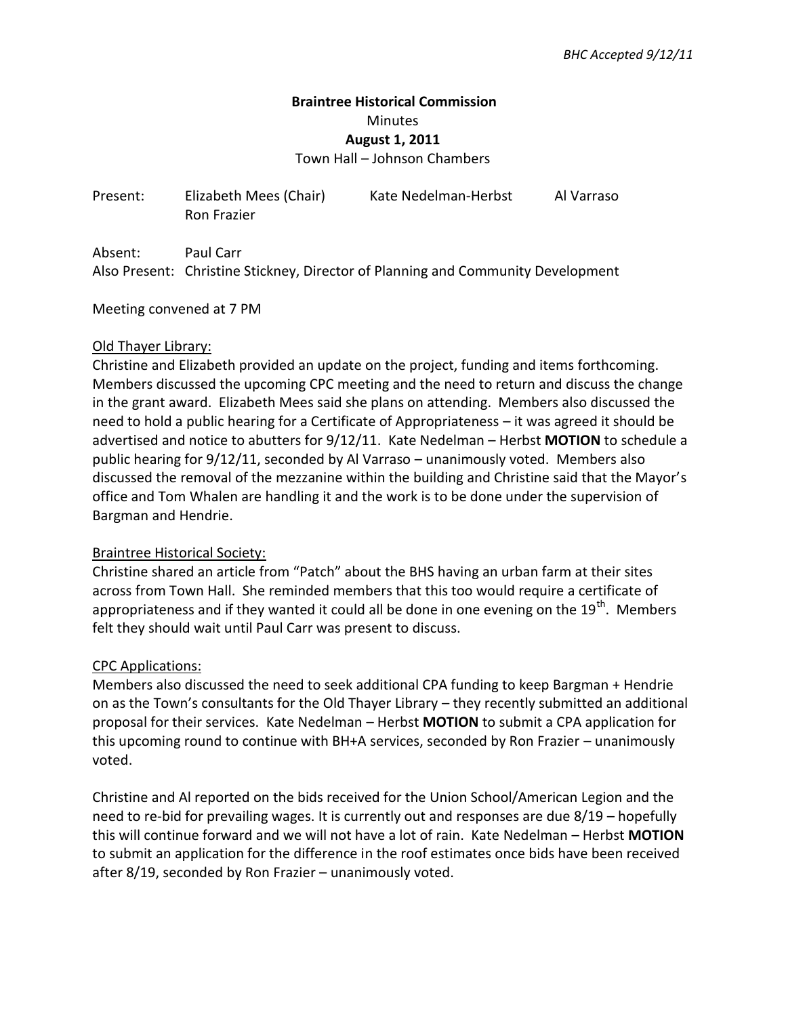# **Braintree Historical Commission**  Minutes **August 1, 2011** Town Hall – Johnson Chambers

Present: Elizabeth Mees (Chair) Kate Nedelman-Herbst Al Varraso Ron Frazier

Absent: Paul Carr Also Present: Christine Stickney, Director of Planning and Community Development

Meeting convened at 7 PM

### Old Thayer Library:

Christine and Elizabeth provided an update on the project, funding and items forthcoming. Members discussed the upcoming CPC meeting and the need to return and discuss the change in the grant award. Elizabeth Mees said she plans on attending. Members also discussed the need to hold a public hearing for a Certificate of Appropriateness – it was agreed it should be advertised and notice to abutters for 9/12/11. Kate Nedelman – Herbst **MOTION** to schedule a public hearing for 9/12/11, seconded by Al Varraso – unanimously voted. Members also discussed the removal of the mezzanine within the building and Christine said that the Mayor's office and Tom Whalen are handling it and the work is to be done under the supervision of Bargman and Hendrie.

## Braintree Historical Society:

Christine shared an article from "Patch" about the BHS having an urban farm at their sites across from Town Hall. She reminded members that this too would require a certificate of appropriateness and if they wanted it could all be done in one evening on the  $19<sup>th</sup>$ . Members felt they should wait until Paul Carr was present to discuss.

#### CPC Applications:

Members also discussed the need to seek additional CPA funding to keep Bargman + Hendrie on as the Town's consultants for the Old Thayer Library – they recently submitted an additional proposal for their services. Kate Nedelman – Herbst **MOTION** to submit a CPA application for this upcoming round to continue with BH+A services, seconded by Ron Frazier – unanimously voted.

Christine and Al reported on the bids received for the Union School/American Legion and the need to re-bid for prevailing wages. It is currently out and responses are due 8/19 – hopefully this will continue forward and we will not have a lot of rain. Kate Nedelman – Herbst **MOTION** to submit an application for the difference in the roof estimates once bids have been received after 8/19, seconded by Ron Frazier – unanimously voted.